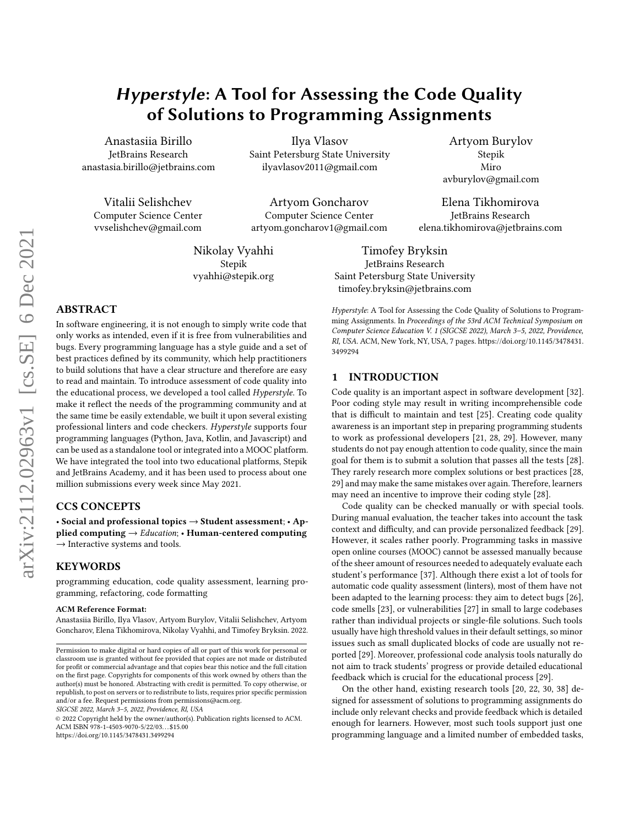# Hyperstyle: A Tool for Assessing the Code Quality of Solutions to Programming Assignments

Anastasiia Birillo JetBrains Research anastasia.birillo@jetbrains.com

Vitalii Selishchev Computer Science Center vvselishchev@gmail.com

Ilya Vlasov Saint Petersburg State University ilyavlasov2011@gmail.com

Artyom Goncharov Computer Science Center artyom.goncharov1@gmail.com

Nikolay Vyahhi Stepik vyahhi@stepik.org

Stepik Miro avburylov@gmail.com

Artyom Burylov

Elena Tikhomirova JetBrains Research elena.tikhomirova@jetbrains.com

Timofey Bryksin JetBrains Research Saint Petersburg State University timofey.bryksin@jetbrains.com

# ABSTRACT

In software engineering, it is not enough to simply write code that only works as intended, even if it is free from vulnerabilities and bugs. Every programming language has a style guide and a set of best practices defined by its community, which help practitioners to build solutions that have a clear structure and therefore are easy to read and maintain. To introduce assessment of code quality into the educational process, we developed a tool called Hyperstyle. To make it reflect the needs of the programming community and at the same time be easily extendable, we built it upon several existing professional linters and code checkers. Hyperstyle supports four programming languages (Python, Java, Kotlin, and Javascript) and can be used as a standalone tool or integrated into a MOOC platform. We have integrated the tool into two educational platforms, Stepik and JetBrains Academy, and it has been used to process about one million submissions every week since May 2021.

# CCS CONCEPTS

• Social and professional topics → Student assessment; • Applied computing  $\rightarrow$  *Education*; • Human-centered computing  $\rightarrow$  Interactive systems and tools.

# **KEYWORDS**

programming education, code quality assessment, learning programming, refactoring, code formatting

#### ACM Reference Format:

Anastasiia Birillo, Ilya Vlasov, Artyom Burylov, Vitalii Selishchev, Artyom Goncharov, Elena Tikhomirova, Nikolay Vyahhi, and Timofey Bryksin. 2022.

SIGCSE 2022, March 3–5, 2022, Providence, RI, USA

© 2022 Copyright held by the owner/author(s). Publication rights licensed to ACM. ACM ISBN 978-1-4503-9070-5/22/03. . . \$15.00 <https://doi.org/10.1145/3478431.3499294>

Hyperstyle: A Tool for Assessing the Code Quality of Solutions to Programming Assignments. In Proceedings of the 53rd ACM Technical Symposium on Computer Science Education V. 1 (SIGCSE 2022), March 3–5, 2022, Providence, RI, USA. ACM, New York, NY, USA, [7](#page-6-0) pages. [https://doi.org/10.1145/3478431.](https://doi.org/10.1145/3478431.3499294) [3499294](https://doi.org/10.1145/3478431.3499294)

# 1 INTRODUCTION

Code quality is an important aspect in software development [\[32\]](#page-6-1). Poor coding style may result in writing incomprehensible code that is difficult to maintain and test [\[25\]](#page-6-2). Creating code quality awareness is an important step in preparing programming students to work as professional developers [\[21,](#page-6-3) [28,](#page-6-4) [29\]](#page-6-5). However, many students do not pay enough attention to code quality, since the main goal for them is to submit a solution that passes all the tests [\[28\]](#page-6-4). They rarely research more complex solutions or best practices [\[28,](#page-6-4) [29\]](#page-6-5) and may make the same mistakes over again. Therefore, learners may need an incentive to improve their coding style [\[28\]](#page-6-4).

Code quality can be checked manually or with special tools. During manual evaluation, the teacher takes into account the task context and difficulty, and can provide personalized feedback [\[29\]](#page-6-5). However, it scales rather poorly. Programming tasks in massive open online courses (MOOC) cannot be assessed manually because of the sheer amount of resources needed to adequately evaluate each student's performance [\[37\]](#page-6-6). Although there exist a lot of tools for automatic code quality assessment (linters), most of them have not been adapted to the learning process: they aim to detect bugs [\[26\]](#page-6-7), code smells [\[23\]](#page-6-8), or vulnerabilities [\[27\]](#page-6-9) in small to large codebases rather than individual projects or single-file solutions. Such tools usually have high threshold values in their default settings, so minor issues such as small duplicated blocks of code are usually not reported [\[29\]](#page-6-5). Moreover, professional code analysis tools naturally do not aim to track students' progress or provide detailed educational feedback which is crucial for the educational process [\[29\]](#page-6-5).

On the other hand, existing research tools [\[20,](#page-6-10) [22,](#page-6-11) [30,](#page-6-12) [38\]](#page-6-13) designed for assessment of solutions to programming assignments do include only relevant checks and provide feedback which is detailed enough for learners. However, most such tools support just one programming language and a limited number of embedded tasks,

Permission to make digital or hard copies of all or part of this work for personal or classroom use is granted without fee provided that copies are not made or distributed for profit or commercial advantage and that copies bear this notice and the full citation on the first page. Copyrights for components of this work owned by others than the author(s) must be honored. Abstracting with credit is permitted. To copy otherwise, or republish, to post on servers or to redistribute to lists, requires prior specific permission and/or a fee. Request permissions from permissions@acm.org.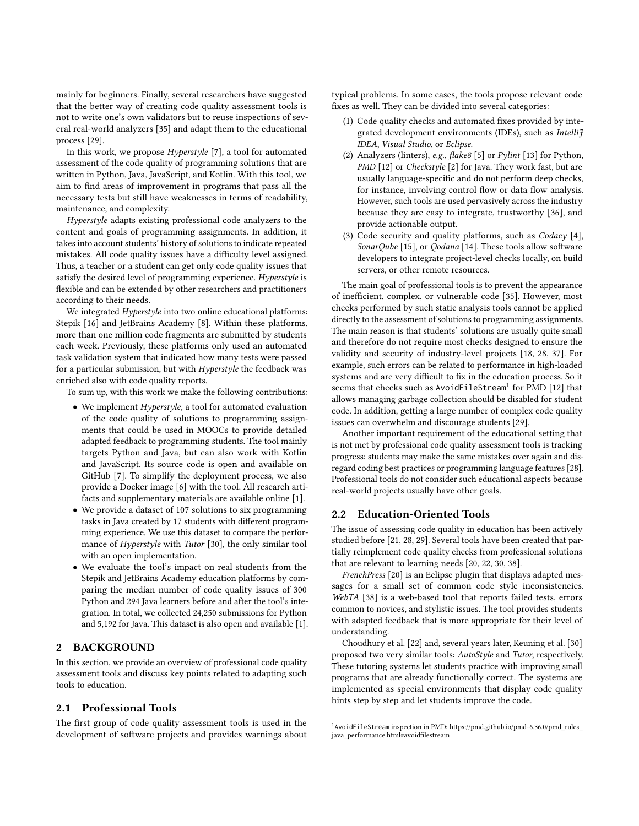mainly for beginners. Finally, several researchers have suggested that the better way of creating code quality assessment tools is not to write one's own validators but to reuse inspections of several real-world analyzers [\[35\]](#page-6-14) and adapt them to the educational process [\[29\]](#page-6-5).

In this work, we propose  $Hypersible$  [\[7\]](#page-6-15), a tool for automated assessment of the code quality of programming solutions that are written in Python, Java, JavaScript, and Kotlin. With this tool, we aim to find areas of improvement in programs that pass all the necessary tests but still have weaknesses in terms of readability, maintenance, and complexity.

Hyperstyle adapts existing professional code analyzers to the content and goals of programming assignments. In addition, it takes into account students' history of solutions to indicate repeated mistakes. All code quality issues have a difficulty level assigned. Thus, a teacher or a student can get only code quality issues that satisfy the desired level of programming experience. Hyperstyle is flexible and can be extended by other researchers and practitioners according to their needs.

We integrated *Hyperstyle* into two online educational platforms: Stepik [\[16\]](#page-6-16) and JetBrains Academy [\[8\]](#page-6-17). Within these platforms, more than one million code fragments are submitted by students each week. Previously, these platforms only used an automated task validation system that indicated how many tests were passed for a particular submission, but with Hyperstyle the feedback was enriched also with code quality reports.

To sum up, with this work we make the following contributions:

- We implement Hyperstyle, a tool for automated evaluation of the code quality of solutions to programming assignments that could be used in MOOCs to provide detailed adapted feedback to programming students. The tool mainly targets Python and Java, but can also work with Kotlin and JavaScript. Its source code is open and available on GitHub [\[7\]](#page-6-15). To simplify the deployment process, we also provide a Docker image [\[6\]](#page-6-18) with the tool. All research artifacts and supplementary materials are available online [\[1\]](#page-6-19).
- We provide a dataset of 107 solutions to six programming tasks in Java created by 17 students with different programming experience. We use this dataset to compare the performance of Hyperstyle with Tutor [\[30\]](#page-6-12), the only similar tool with an open implementation.
- We evaluate the tool's impact on real students from the Stepik and JetBrains Academy education platforms by comparing the median number of code quality issues of 300 Python and 294 Java learners before and after the tool's integration. In total, we collected 24,250 submissions for Python and 5,192 for Java. This dataset is also open and available [\[1\]](#page-6-19).

# 2 BACKGROUND

In this section, we provide an overview of professional code quality assessment tools and discuss key points related to adapting such tools to education.

#### 2.1 Professional Tools

The first group of code quality assessment tools is used in the development of software projects and provides warnings about typical problems. In some cases, the tools propose relevant code fixes as well. They can be divided into several categories:

- (1) Code quality checks and automated fixes provided by integrated development environments (IDEs), such as Intellif IDEA, Visual Studio, or Eclipse.
- (2) Analyzers (linters), e.g., flake8 [\[5\]](#page-6-20) or Pylint [\[13\]](#page-6-21) for Python, PMD [\[12\]](#page-6-22) or *Checkstyle* [\[2\]](#page-6-23) for Java. They work fast, but are usually language-specific and do not perform deep checks, for instance, involving control flow or data flow analysis. However, such tools are used pervasively across the industry because they are easy to integrate, trustworthy [\[36\]](#page-6-24), and provide actionable output.
- (3) Code security and quality platforms, such as Codacy [\[4\]](#page-6-25), SonarQube [\[15\]](#page-6-26), or Qodana [\[14\]](#page-6-27). These tools allow software developers to integrate project-level checks locally, on build servers, or other remote resources.

The main goal of professional tools is to prevent the appearance of inefficient, complex, or vulnerable code [\[35\]](#page-6-14). However, most checks performed by such static analysis tools cannot be applied directly to the assessment of solutions to programming assignments. The main reason is that students' solutions are usually quite small and therefore do not require most checks designed to ensure the validity and security of industry-level projects [\[18,](#page-6-28) [28,](#page-6-4) [37\]](#page-6-6). For example, such errors can be related to performance in high-loaded systems and are very difficult to fix in the education process. So it seems that checks such as AvoidFileStream<sup>[1](#page-1-0)</sup> for PMD [\[12\]](#page-6-22) that allows managing garbage collection should be disabled for student code. In addition, getting a large number of complex code quality issues can overwhelm and discourage students [\[29\]](#page-6-5).

Another important requirement of the educational setting that is not met by professional code quality assessment tools is tracking progress: students may make the same mistakes over again and disregard coding best practices or programming language features [\[28\]](#page-6-4). Professional tools do not consider such educational aspects because real-world projects usually have other goals.

#### 2.2 Education-Oriented Tools

The issue of assessing code quality in education has been actively studied before [\[21,](#page-6-3) [28,](#page-6-4) [29\]](#page-6-5). Several tools have been created that partially reimplement code quality checks from professional solutions that are relevant to learning needs [\[20,](#page-6-10) [22,](#page-6-11) [30,](#page-6-12) [38\]](#page-6-13).

FrenchPress [\[20\]](#page-6-10) is an Eclipse plugin that displays adapted messages for a small set of common code style inconsistencies. WebTA [\[38\]](#page-6-13) is a web-based tool that reports failed tests, errors common to novices, and stylistic issues. The tool provides students with adapted feedback that is more appropriate for their level of understanding.

Choudhury et al. [\[22\]](#page-6-11) and, several years later, Keuning et al. [\[30\]](#page-6-12) proposed two very similar tools: AutoStyle and Tutor, respectively. These tutoring systems let students practice with improving small programs that are already functionally correct. The systems are implemented as special environments that display code quality hints step by step and let students improve the code.

<span id="page-1-0"></span><sup>&</sup>lt;sup>1</sup>AvoidFileStream inspection in PMD: [https://pmd.github.io/pmd-6.36.0/pmd\\_rules\\_](https://pmd.github.io/pmd-6.36.0/pmd_rules_java_performance.html#avoidfilestream) [java\\_performance.html#avoidfilestream](https://pmd.github.io/pmd-6.36.0/pmd_rules_java_performance.html#avoidfilestream)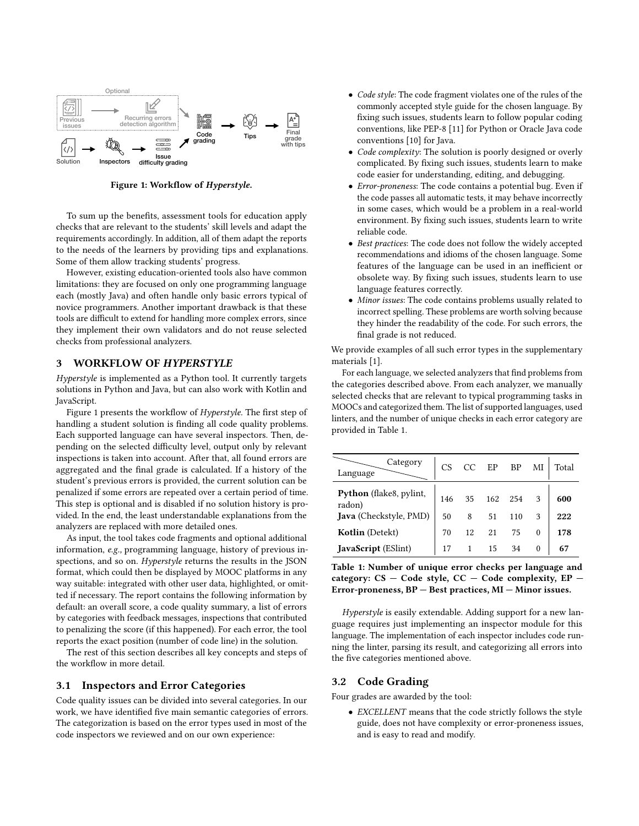<span id="page-2-0"></span>

Figure 1: Workflow of Hyperstyle.

To sum up the benefits, assessment tools for education apply checks that are relevant to the students' skill levels and adapt the requirements accordingly. In addition, all of them adapt the reports to the needs of the learners by providing tips and explanations. Some of them allow tracking students' progress.

Equiton inspectors difficulty grading the continuation of Expectition in the benefits, assessment tools for education apply the code respective that are relevant to the students skill levels and adapt the environment requ However, existing education-oriented tools also have common limitations: they are focused on only one programming language each (mostly Java) and often handle only basic errors typical of novice programmers. Another important drawback is that these tools are difficult to extend for handling more complex errors, since they implement their own validators and do not reuse selected checks from professional analyzers.

#### 3 WORKFLOW OF HYPERSTYLE

Hyperstyle is implemented as a Python tool. It currently targets solutions in Python and Java, but can also work with Kotlin and JavaScript.

Figure [1](#page-2-0) presents the workflow of Hyperstyle. The first step of handling a student solution is finding all code quality problems. Each supported language can have several inspectors. Then, depending on the selected difficulty level, output only by relevant inspections is taken into account. After that, all found errors are aggregated and the final grade is calculated. If a history of the student's previous errors is provided, the current solution can be penalized if some errors are repeated over a certain period of time. This step is optional and is disabled if no solution history is provided. In the end, the least understandable explanations from the analyzers are replaced with more detailed ones.

As input, the tool takes code fragments and optional additional information, e.g., programming language, history of previous inspections, and so on. Hyperstyle returns the results in the JSON format, which could then be displayed by MOOC platforms in any way suitable: integrated with other user data, highlighted, or omitted if necessary. The report contains the following information by default: an overall score, a code quality summary, a list of errors by categories with feedback messages, inspections that contributed to penalizing the score (if this happened). For each error, the tool reports the exact position (number of code line) in the solution.

The rest of this section describes all key concepts and steps of the workflow in more detail.

#### 3.1 Inspectors and Error Categories

Code quality issues can be divided into several categories. In our work, we have identified five main semantic categories of errors. The categorization is based on the error types used in most of the code inspectors we reviewed and on our own experience:

- Code style: The code fragment violates one of the rules of the commonly accepted style guide for the chosen language. By fixing such issues, students learn to follow popular coding conventions, like PEP-8 [\[11\]](#page-6-29) for Python or Oracle Java code conventions [\[10\]](#page-6-30) for Java.
- Code complexity: The solution is poorly designed or overly complicated. By fixing such issues, students learn to make code easier for understanding, editing, and debugging.
- Error-proneness: The code contains a potential bug. Even if the code passes all automatic tests, it may behave incorrectly in some cases, which would be a problem in a real-world environment. By fixing such issues, students learn to write reliable code.
- Best practices: The code does not follow the widely accepted recommendations and idioms of the chosen language. Some features of the language can be used in an inefficient or obsolete way. By fixing such issues, students learn to use language features correctly.
- Minor issues: The code contains problems usually related to incorrect spelling. These problems are worth solving because they hinder the readability of the code. For such errors, the final grade is not reduced.

We provide examples of all such error types in the supplementary materials [1].

For each language, we selected analyzers that find problems from the categories described above. From each analyzer, we manually selected checks that are relevant to typical programming tasks in MOOCs and categorized them. The list of supported languages, used linters, and the number of unique checks in each error category are provided in Table [1.](#page-2-1)

<span id="page-2-1"></span>

| Category<br>Language              | CS  | CC | EP. | <b>BP</b> | МI       | Total |
|-----------------------------------|-----|----|-----|-----------|----------|-------|
| Python (flake8, pylint,<br>radon) | 146 | 35 | 162 | 254       |          | 600   |
| Java (Checkstyle, PMD)            | 50  | 8  | 51  | 110       | 3        | 222   |
| Kotlin (Detekt)                   | 70  | 12 | 21  | 75        | $\theta$ | 178   |
| JavaScript (ESlint)               | 17  |    | 15  | 34        | $\theta$ | 67    |

Table 1: Number of unique error checks per language and category:  $CS - Code$  style,  $CC - Code$  complexity,  $EP -$ Error-proneness, BP — Best practices, MI — Minor issues.

Hyperstyle is easily extendable. Adding support for a new language requires just implementing an inspector module for this language. The implementation of each inspector includes code running the linter, parsing its result, and categorizing all errors into the five categories mentioned above.

#### 3.2 Code Grading

Four grades are awarded by the tool:

• EXCELLENT means that the code strictly follows the style guide, does not have complexity or error-proneness issues, and is easy to read and modify.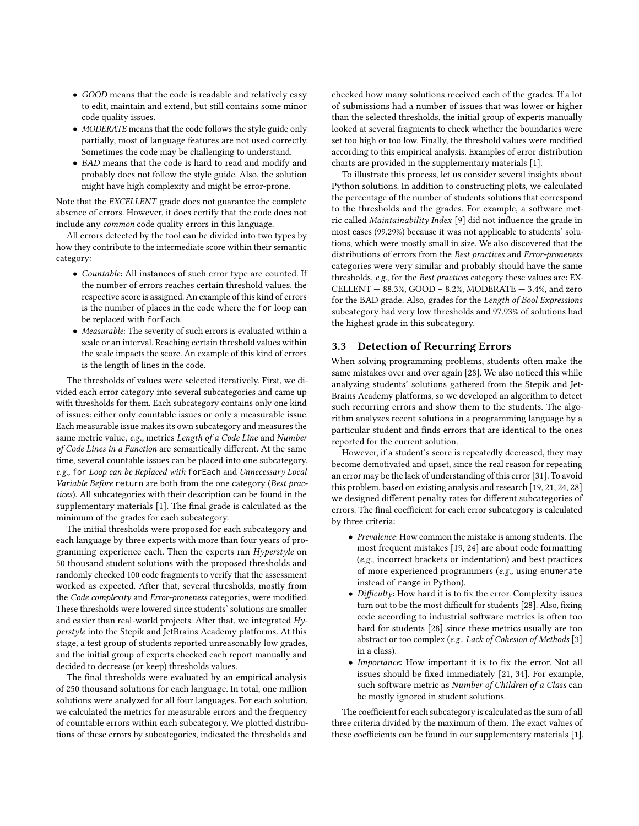- GOOD means that the code is readable and relatively easy to edit, maintain and extend, but still contains some minor code quality issues.
- MODERATE means that the code follows the style guide only partially, most of language features are not used correctly. Sometimes the code may be challenging to understand.
- BAD means that the code is hard to read and modify and probably does not follow the style guide. Also, the solution might have high complexity and might be error-prone.

Note that the EXCELLENT grade does not guarantee the complete absence of errors. However, it does certify that the code does not include any common code quality errors in this language.

All errors detected by the tool can be divided into two types by how they contribute to the intermediate score within their semantic category:

- Countable: All instances of such error type are counted. If the number of errors reaches certain threshold values, the respective score is assigned. An example of this kind of errors is the number of places in the code where the for loop can be replaced with forEach.
- Measurable: The severity of such errors is evaluated within a scale or an interval. Reaching certain threshold values within the scale impacts the score. An example of this kind of errors is the length of lines in the code.

The thresholds of values were selected iteratively. First, we divided each error category into several subcategories and came up with thresholds for them. Each subcategory contains only one kind of issues: either only countable issues or only a measurable issue. Each measurable issue makes its own subcategory and measures the same metric value, e.g., metrics Length of a Code Line and Number of Code Lines in a Function are semantically different. At the same time, several countable issues can be placed into one subcategory, e.g., for Loop can be Replaced with forEach and Unnecessary Local Variable Before return are both from the one category (Best practices). All subcategories with their description can be found in the supplementary materials [\[1\]](#page-6-19). The final grade is calculated as the minimum of the grades for each subcategory.

The initial thresholds were proposed for each subcategory and each language by three experts with more than four years of programming experience each. Then the experts ran Hyperstyle on 50 thousand student solutions with the proposed thresholds and randomly checked 100 code fragments to verify that the assessment worked as expected. After that, several thresholds, mostly from the Code complexity and Error-proneness categories, were modified. These thresholds were lowered since students' solutions are smaller and easier than real-world projects. After that, we integrated Hyperstyle into the Stepik and JetBrains Academy platforms. At this stage, a test group of students reported unreasonably low grades, and the initial group of experts checked each report manually and decided to decrease (or keep) thresholds values.

The final thresholds were evaluated by an empirical analysis of 250 thousand solutions for each language. In total, one million solutions were analyzed for all four languages. For each solution, we calculated the metrics for measurable errors and the frequency of countable errors within each subcategory. We plotted distributions of these errors by subcategories, indicated the thresholds and

checked how many solutions received each of the grades. If a lot of submissions had a number of issues that was lower or higher than the selected thresholds, the initial group of experts manually looked at several fragments to check whether the boundaries were set too high or too low. Finally, the threshold values were modified according to this empirical analysis. Examples of error distribution charts are provided in the supplementary materials [\[1\]](#page-6-19).

To illustrate this process, let us consider several insights about Python solutions. In addition to constructing plots, we calculated the percentage of the number of students solutions that correspond to the thresholds and the grades. For example, a software metric called Maintainability Index [\[9\]](#page-6-31) did not influence the grade in most cases (99.29%) because it was not applicable to students' solutions, which were mostly small in size. We also discovered that the distributions of errors from the Best practices and Error-proneness categories were very similar and probably should have the same thresholds, e.g., for the Best practices category these values are: EX-CELLENT  $-$  88.3%, GOOD  $-$  8.2%, MODERATE  $-$  3.4%, and zero for the BAD grade. Also, grades for the Length of Bool Expressions subcategory had very low thresholds and 97.93% of solutions had the highest grade in this subcategory.

# <span id="page-3-0"></span>3.3 Detection of Recurring Errors

When solving programming problems, students often make the same mistakes over and over again [\[28\]](#page-6-4). We also noticed this while analyzing students' solutions gathered from the Stepik and Jet-Brains Academy platforms, so we developed an algorithm to detect such recurring errors and show them to the students. The algorithm analyzes recent solutions in a programming language by a particular student and finds errors that are identical to the ones reported for the current solution.

However, if a student's score is repeatedly decreased, they may become demotivated and upset, since the real reason for repeating an error may be the lack of understanding of this error [\[31\]](#page-6-32). To avoid this problem, based on existing analysis and research [\[19,](#page-6-33) [21,](#page-6-3) [24,](#page-6-34) [28\]](#page-6-4) we designed different penalty rates for different subcategories of errors. The final coefficient for each error subcategory is calculated by three criteria:

- Prevalence: How common the mistake is among students. The most frequent mistakes [\[19,](#page-6-33) [24\]](#page-6-34) are about code formatting (e.g., incorrect brackets or indentation) and best practices of more experienced programmers (e.g., using enumerate instead of range in Python).
- Difficulty: How hard it is to fix the error. Complexity issues turn out to be the most difficult for students [\[28\]](#page-6-4). Also, fixing code according to industrial software metrics is often too hard for students [\[28\]](#page-6-4) since these metrics usually are too abstract or too complex (e.g., Lack of Cohesion of Methods [\[3\]](#page-6-35) in a class).
- Importance: How important it is to fix the error. Not all issues should be fixed immediately [\[21,](#page-6-3) [34\]](#page-6-36). For example, such software metric as Number of Children of a Class can be mostly ignored in student solutions.

The coefficient for each subcategory is calculated as the sum of all three criteria divided by the maximum of them. The exact values of these coefficients can be found in our supplementary materials [\[1\]](#page-6-19).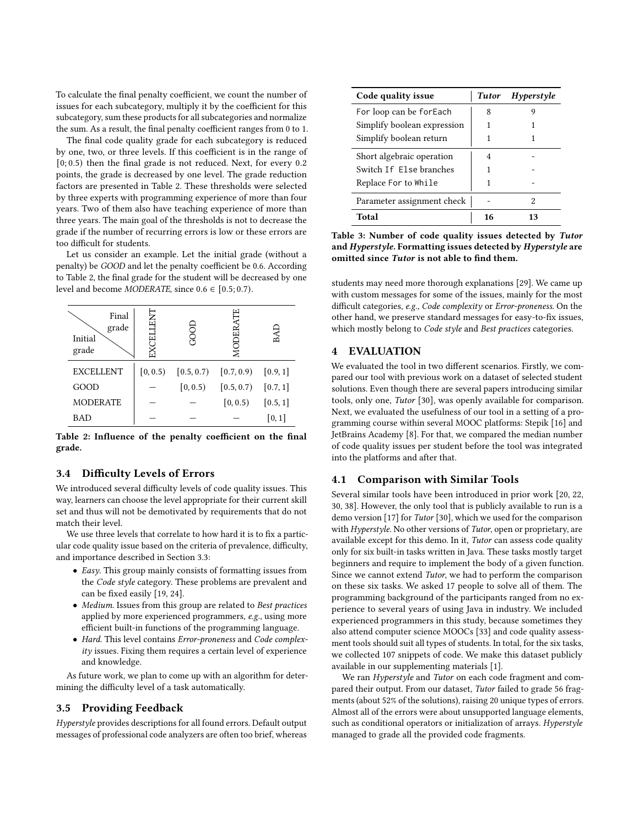To calculate the final penalty coefficient, we count the number of issues for each subcategory, multiply it by the coefficient for this subcategory, sum these products for all subcategories and normalize the sum. As a result, the final penalty coefficient ranges from 0 to 1.

The final code quality grade for each subcategory is reduced by one, two, or three levels. If this coefficient is in the range of  $[0; 0.5)$  then the final grade is not reduced. Next, for every 0.2 points, the grade is decreased by one level. The grade reduction factors are presented in Table [2.](#page-4-0) These thresholds were selected by three experts with programming experience of more than four years. Two of them also have teaching experience of more than three years. The main goal of the thresholds is not to decrease the grade if the number of recurring errors is low or these errors are too difficult for students.

Let us consider an example. Let the initial grade (without a penalty) be GOOD and let the penalty coefficient be 0.6. According to Table [2,](#page-4-0) the final grade for the student will be decreased by one level and become *MODERATE*, since  $0.6 \in [0.5; 0.7)$ .

<span id="page-4-0"></span>

| Final<br>grade<br>Initial<br>grade | ENT<br>LEE | ₹        | Ë<br>ž                               | BAL                |
|------------------------------------|------------|----------|--------------------------------------|--------------------|
| <b>EXCELLENT</b>                   | [0, 0.5)   |          | $[0.5, 0.7)$ $[0.7, 0.9)$ $[0.9, 1]$ |                    |
| GOOD                               |            | [0, 0.5) | $[0.5, 0.7)$ $[0.7, 1]$              |                    |
| <b>MODERATE</b>                    |            |          | [0, 0.5)                             | [0.5, 1]           |
| <b>BAD</b>                         |            |          |                                      | $\left[0,1\right]$ |

Table 2: Influence of the penalty coefficient on the final grade.

#### 3.4 Difficulty Levels of Errors

We introduced several difficulty levels of code quality issues. This way, learners can choose the level appropriate for their current skill set and thus will not be demotivated by requirements that do not match their level.

We use three levels that correlate to how hard it is to fix a particular code quality issue based on the criteria of prevalence, difficulty, and importance described in Section [3.3:](#page-3-0)

- Easy. This group mainly consists of formatting issues from the Code style category. These problems are prevalent and can be fixed easily [\[19,](#page-6-33) [24\]](#page-6-34).
- Medium. Issues from this group are related to Best practices applied by more experienced programmers, e.g., using more efficient built-in functions of the programming language.
- Hard. This level contains Error-proneness and Code complexity issues. Fixing them requires a certain level of experience and knowledge.

As future work, we plan to come up with an algorithm for determining the difficulty level of a task automatically.

#### 3.5 Providing Feedback

Hyperstyle provides descriptions for all found errors. Default output messages of professional code analyzers are often too brief, whereas

<span id="page-4-1"></span>

| Code quality issue          | <b>Tutor</b> | $Hypers$ tyle |
|-----------------------------|--------------|---------------|
| For loop can be forEach     | 8            |               |
| Simplify boolean expression |              |               |
| Simplify boolean return     |              |               |
| Short algebraic operation   | 4            |               |
| Switch If Flse branches     |              |               |
| Replace For to While        |              |               |
| Parameter assignment check  |              | 2             |
| Total                       |              |               |

Table 3: Number of code quality issues detected by Tutor and Hyperstyle. Formatting issues detected by Hyperstyle are omitted since Tutor is not able to find them.

students may need more thorough explanations [\[29\]](#page-6-5). We came up with custom messages for some of the issues, mainly for the most difficult categories, e.g., Code complexity or Error-proneness. On the other hand, we preserve standard messages for easy-to-fix issues, which mostly belong to Code style and Best practices categories.

# 4 EVALUATION

We evaluated the tool in two different scenarios. Firstly, we compared our tool with previous work on a dataset of selected student solutions. Even though there are several papers introducing similar tools, only one, Tutor [\[30\]](#page-6-12), was openly available for comparison. Next, we evaluated the usefulness of our tool in a setting of a programming course within several MOOC platforms: Stepik [\[16\]](#page-6-16) and JetBrains Academy [\[8\]](#page-6-17). For that, we compared the median number of code quality issues per student before the tool was integrated into the platforms and after that.

#### 4.1 Comparison with Similar Tools

Several similar tools have been introduced in prior work [\[20,](#page-6-10) [22,](#page-6-11) [30,](#page-6-12) [38\]](#page-6-13). However, the only tool that is publicly available to run is a demo version [\[17\]](#page-6-37) for Tutor [\[30\]](#page-6-12), which we used for the comparison with Hyperstyle. No other versions of Tutor, open or proprietary, are available except for this demo. In it, Tutor can assess code quality only for six built-in tasks written in Java. These tasks mostly target beginners and require to implement the body of a given function. Since we cannot extend Tutor, we had to perform the comparison on these six tasks. We asked 17 people to solve all of them. The programming background of the participants ranged from no experience to several years of using Java in industry. We included experienced programmers in this study, because sometimes they also attend computer science MOOCs [\[33\]](#page-6-38) and code quality assessment tools should suit all types of students. In total, for the six tasks, we collected 107 snippets of code. We make this dataset publicly available in our supplementing materials [\[1\]](#page-6-19).

We ran Hyperstyle and Tutor on each code fragment and compared their output. From our dataset, Tutor failed to grade 56 fragments (about 52% of the solutions), raising 20 unique types of errors. Almost all of the errors were about unsupported language elements, such as conditional operators or initialization of arrays. Hyperstyle managed to grade all the provided code fragments.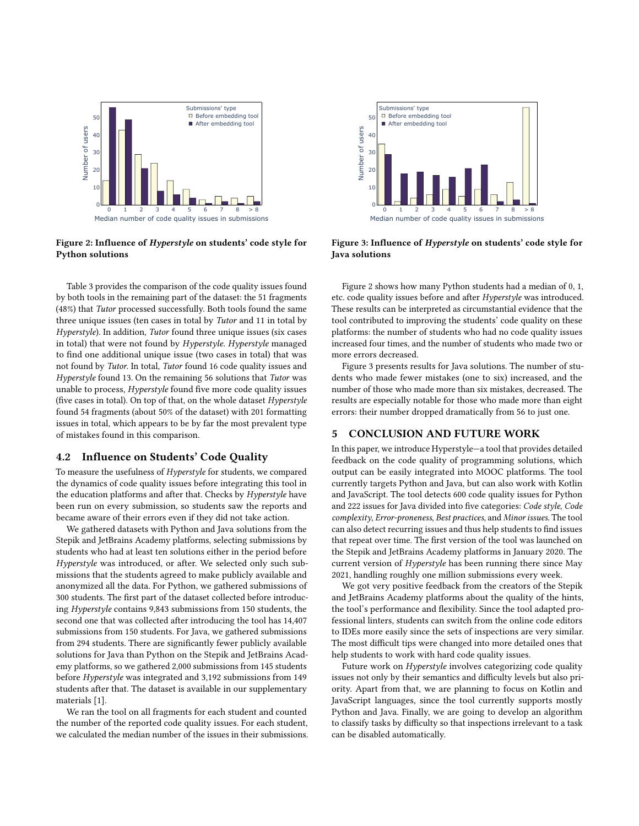<span id="page-5-0"></span>

Figure 2: Influence of Hyperstyle on students' code style for Python solutions

Table [3](#page-4-1) provides the comparison of the code quality issues found by both tools in the remaining part of the dataset: the 51 fragments (48%) that Tutor processed successfully. Both tools found the same three unique issues (ten cases in total by Tutor and 11 in total by Hyperstyle). In addition, Tutor found three unique issues (six cases in total) that were not found by Hyperstyle. Hyperstyle managed to find one additional unique issue (two cases in total) that was not found by Tutor. In total, Tutor found 16 code quality issues and Hyperstyle found 13. On the remaining 56 solutions that Tutor was unable to process, Hyperstyle found five more code quality issues (five cases in total). On top of that, on the whole dataset Hyperstyle found 54 fragments (about 50% of the dataset) with 201 formatting issues in total, which appears to be by far the most prevalent type of mistakes found in this comparison.

#### 4.2 Influence on Students' Code Quality

To measure the usefulness of Hyperstyle for students, we compared the dynamics of code quality issues before integrating this tool in the education platforms and after that. Checks by Hyperstyle have been run on every submission, so students saw the reports and became aware of their errors even if they did not take action.

We gathered datasets with Python and Java solutions from the Stepik and JetBrains Academy platforms, selecting submissions by students who had at least ten solutions either in the period before Hyperstyle was introduced, or after. We selected only such submissions that the students agreed to make publicly available and anonymized all the data. For Python, we gathered submissions of 300 students. The first part of the dataset collected before introducing Hyperstyle contains 9,843 submissions from 150 students, the second one that was collected after introducing the tool has 14,407 submissions from 150 students. For Java, we gathered submissions from 294 students. There are significantly fewer publicly available solutions for Java than Python on the Stepik and JetBrains Academy platforms, so we gathered 2,000 submissions from 145 students before Hyperstyle was integrated and 3,192 submissions from 149 students after that. The dataset is available in our supplementary materials [\[1\]](#page-6-19).

We ran the tool on all fragments for each student and counted the number of the reported code quality issues. For each student, we calculated the median number of the issues in their submissions.

<span id="page-5-1"></span>

Figure 3: Influence of Hyperstyle on students' code style for Java solutions

Figure [2](#page-5-0) shows how many Python students had a median of 0, 1, etc. code quality issues before and after Hyperstyle was introduced. These results can be interpreted as circumstantial evidence that the tool contributed to improving the students' code quality on these platforms: the number of students who had no code quality issues increased four times, and the number of students who made two or more errors decreased.

Figure [3](#page-5-1) presents results for Java solutions. The number of students who made fewer mistakes (one to six) increased, and the number of those who made more than six mistakes, decreased. The results are especially notable for those who made more than eight errors: their number dropped dramatically from 56 to just one.

#### 5 CONCLUSION AND FUTURE WORK

In this paper, we introduce Hyperstyle—a tool that provides detailed feedback on the code quality of programming solutions, which output can be easily integrated into MOOC platforms. The tool currently targets Python and Java, but can also work with Kotlin and JavaScript. The tool detects 600 code quality issues for Python and 222 issues for Java divided into five categories: Code style, Code complexity, Error-proneness, Best practices, and Minor issues. The tool can also detect recurring issues and thus help students to find issues that repeat over time. The first version of the tool was launched on the Stepik and JetBrains Academy platforms in January 2020. The current version of Hyperstyle has been running there since May 2021, handling roughly one million submissions every week.

We got very positive feedback from the creators of the Stepik and JetBrains Academy platforms about the quality of the hints, the tool's performance and flexibility. Since the tool adapted professional linters, students can switch from the online code editors to IDEs more easily since the sets of inspections are very similar. The most difficult tips were changed into more detailed ones that help students to work with hard code quality issues.

Future work on Hyperstyle involves categorizing code quality issues not only by their semantics and difficulty levels but also priority. Apart from that, we are planning to focus on Kotlin and JavaScript languages, since the tool currently supports mostly Python and Java. Finally, we are going to develop an algorithm to classify tasks by difficulty so that inspections irrelevant to a task can be disabled automatically.